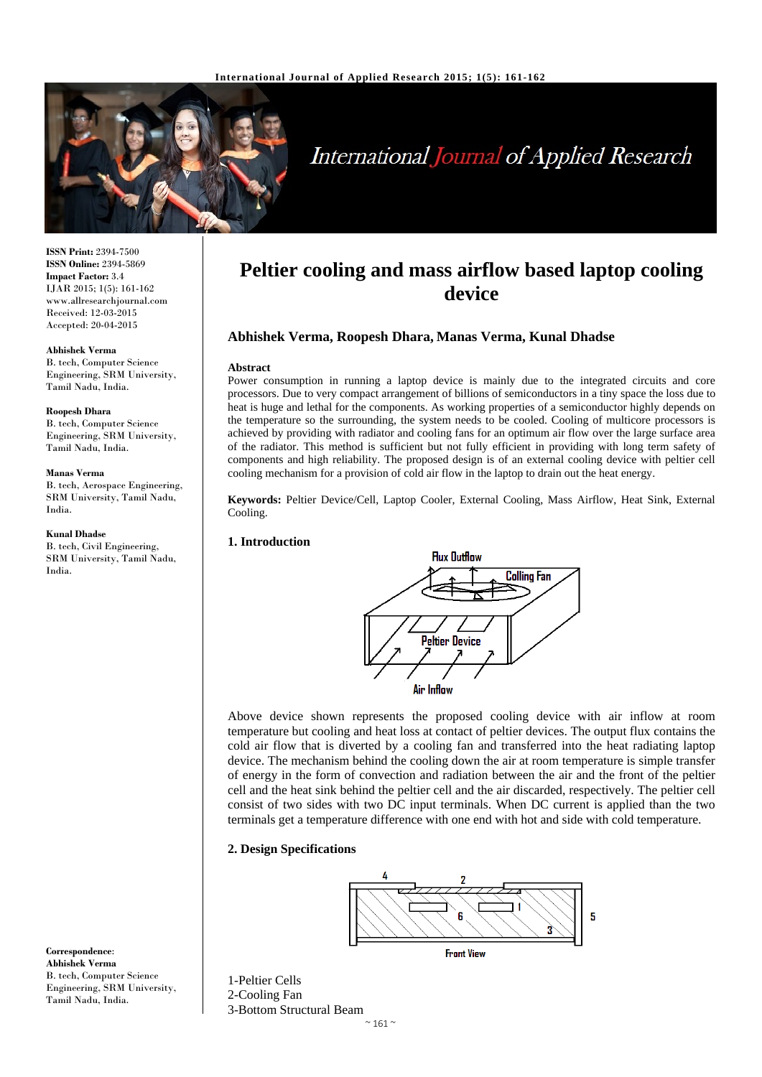

# International Journal of Applied Research

**ISSN Print:** 2394-7500 **ISSN Online:** 2394-5869 **Impact Factor:** 3.4 IJAR 2015; 1(5): 161-162 www.allresearchjournal.com Received: 12-03-2015 Accepted: 20-04-2015

#### **Abhishek Verma**

B. tech, Computer Science Engineering, SRM University, Tamil Nadu, India.

#### **Roopesh Dhara**

B. tech, Computer Science Engineering, SRM University, Tamil Nadu, India.

#### **Manas Verma**

B. tech, Aerospace Engineering, SRM University, Tamil Nadu, India.

#### **Kunal Dhadse**

B. tech, Civil Engineering, SRM University, Tamil Nadu, India.

**Correspondence**: **Abhishek Verma**  B. tech, Computer Science Engineering, SRM University, Tamil Nadu, India.

# **Peltier cooling and mass airflow based laptop cooling device**

# **Abhishek Verma, Roopesh Dhara, Manas Verma, Kunal Dhadse**

#### **Abstract**

Power consumption in running a laptop device is mainly due to the integrated circuits and core processors. Due to very compact arrangement of billions of semiconductors in a tiny space the loss due to heat is huge and lethal for the components. As working properties of a semiconductor highly depends on the temperature so the surrounding, the system needs to be cooled. Cooling of multicore processors is achieved by providing with radiator and cooling fans for an optimum air flow over the large surface area of the radiator. This method is sufficient but not fully efficient in providing with long term safety of components and high reliability. The proposed design is of an external cooling device with peltier cell cooling mechanism for a provision of cold air flow in the laptop to drain out the heat energy.

**Keywords:** Peltier Device/Cell, Laptop Cooler, External Cooling, Mass Airflow, Heat Sink, External Cooling.

### **1. Introduction**



Above device shown represents the proposed cooling device with air inflow at room temperature but cooling and heat loss at contact of peltier devices. The output flux contains the cold air flow that is diverted by a cooling fan and transferred into the heat radiating laptop device. The mechanism behind the cooling down the air at room temperature is simple transfer of energy in the form of convection and radiation between the air and the front of the peltier cell and the heat sink behind the peltier cell and the air discarded, respectively. The peltier cell consist of two sides with two DC input terminals. When DC current is applied than the two terminals get a temperature difference with one end with hot and side with cold temperature.

# **2. Design Specifications**





1-Peltier Cells 2-Cooling Fan 3-Bottom Structural Beam